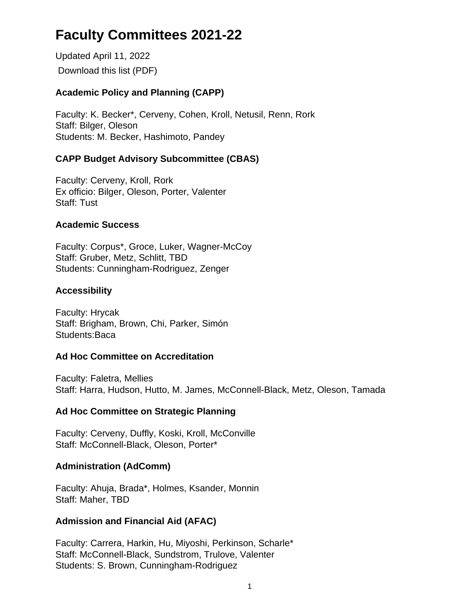# **Faculty Committees 2021-22**

Updated April 11, 2022 Download this list (PDF)

## **Academic Policy and Planning (CAPP)**

Faculty: K. Becker\*, Cerveny, Cohen, Kroll, Netusil, Renn, Rork Staff: Bilger, Oleson Students: M. Becker, Hashimoto, Pandey

## **CAPP Budget Advisory Subcommittee (CBAS)**

Faculty: Cerveny, Kroll, Rork Ex officio: Bilger, Oleson, Porter, Valenter Staff: Tust

## **Academic Success**

Faculty: Corpus\*, Groce, Luker, Wagner-McCoy Staff: Gruber, Metz, Schlitt, TBD Students: Cunningham-Rodriguez, Zenger

#### **Accessibility**

Faculty: Hrycak Staff: Brigham, Brown, Chi, Parker, Simón Students:Baca

#### **Ad Hoc Committee on Accreditation**

Faculty: Faletra, Mellies Staff: Harra, Hudson, Hutto, M. James, McConnell-Black, Metz, Oleson, Tamada

## **Ad Hoc Committee on Strategic Planning**

Faculty: Cerveny, Duffly, Koski, Kroll, McConville Staff: McConnell-Black, Oleson, Porter\*

## **Administration (AdComm)**

Faculty: Ahuja, Brada\*, Holmes, Ksander, Monnin Staff: Maher, TBD

## **Admission and Financial Aid (AFAC)**

Faculty: Carrera, Harkin, Hu, Miyoshi, Perkinson, Scharle\* Staff: McConnell-Black, Sundstrom, Trulove, Valenter Students: S. Brown, Cunningham-Rodriguez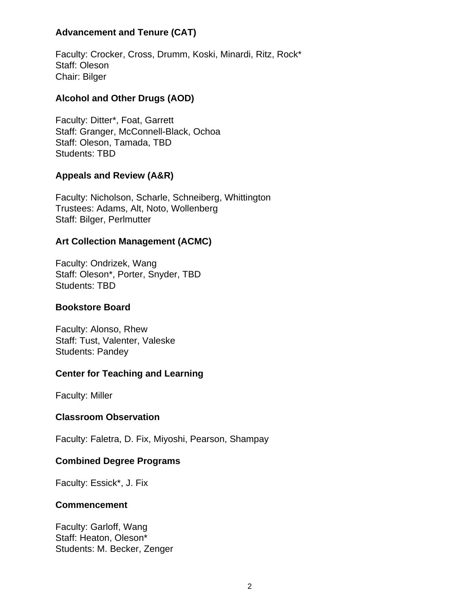#### **Advancement and Tenure (CAT)**

Faculty: Crocker, Cross, Drumm, Koski, Minardi, Ritz, Rock\* Staff: Oleson Chair: Bilger

## **Alcohol and Other Drugs (AOD)**

Faculty: Ditter\*, Foat, Garrett Staff: Granger, McConnell-Black, Ochoa Staff: Oleson, Tamada, TBD Students: TBD

#### **Appeals and Review (A&R)**

Faculty: Nicholson, Scharle, Schneiberg, Whittington Trustees: Adams, Alt, Noto, Wollenberg Staff: Bilger, Perlmutter

#### **Art Collection Management (ACMC)**

Faculty: Ondrizek, Wang Staff: Oleson\*, Porter, Snyder, TBD Students: TBD

#### **Bookstore Board**

Faculty: Alonso, Rhew Staff: Tust, Valenter, Valeske Students: Pandey

## **Center for Teaching and Learning**

Faculty: Miller

#### **Classroom Observation**

Faculty: Faletra, D. Fix, Miyoshi, Pearson, Shampay

#### **Combined Degree Programs**

Faculty: Essick\*, J. Fix

#### **Commencement**

Faculty: Garloff, Wang Staff: Heaton, Oleson\* Students: M. Becker, Zenger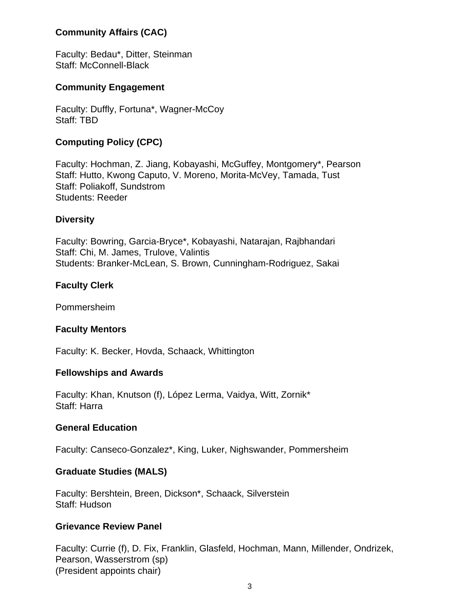#### **Community Affairs (CAC)**

Faculty: Bedau\*, Ditter, Steinman Staff: McConnell-Black

#### **Community Engagement**

Faculty: Duffly, Fortuna\*, Wagner-McCoy Staff: TBD

## **Computing Policy (CPC)**

Faculty: Hochman, Z. Jiang, Kobayashi, McGuffey, Montgomery\*, Pearson Staff: Hutto, Kwong Caputo, V. Moreno, Morita-McVey, Tamada, Tust Staff: Poliakoff, Sundstrom Students: Reeder

#### **Diversity**

Faculty: Bowring, Garcia-Bryce\*, Kobayashi, Natarajan, Rajbhandari Staff: Chi, M. James, Trulove, Valintis Students: Branker-McLean, S. Brown, Cunningham-Rodriguez, Sakai

#### **Faculty Clerk**

Pommersheim

#### **Faculty Mentors**

Faculty: K. Becker, Hovda, Schaack, Whittington

#### **Fellowships and Awards**

Faculty: Khan, Knutson (f), López Lerma, Vaidya, Witt, Zornik\* Staff: Harra

#### **General Education**

Faculty: Canseco-Gonzalez\*, King, Luker, Nighswander, Pommersheim

#### **Graduate Studies (MALS)**

Faculty: Bershtein, Breen, Dickson\*, Schaack, Silverstein Staff: Hudson

#### **Grievance Review Panel**

Faculty: Currie (f), D. Fix, Franklin, Glasfeld, Hochman, Mann, Millender, Ondrizek, Pearson, Wasserstrom (sp) (President appoints chair)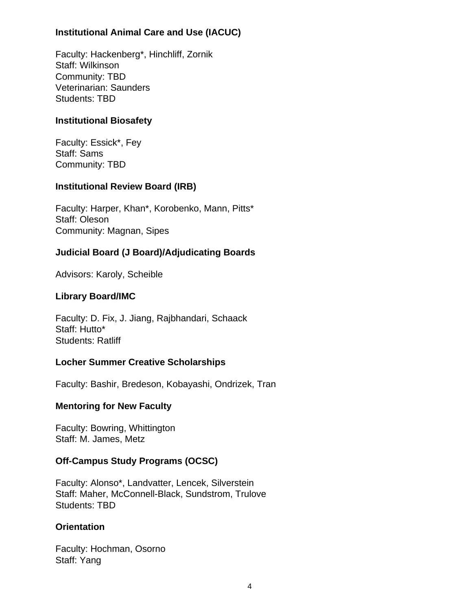## **Institutional Animal Care and Use (IACUC)**

Faculty: Hackenberg\*, Hinchliff, Zornik Staff: Wilkinson Community: TBD Veterinarian: Saunders Students: TBD

## **Institutional Biosafety**

Faculty: Essick\*, Fey Staff: Sams Community: TBD

## **Institutional Review Board (IRB)**

Faculty: Harper, Khan\*, Korobenko, Mann, Pitts\* Staff: Oleson Community: Magnan, Sipes

# **Judicial Board (J Board)/Adjudicating Boards**

Advisors: Karoly, Scheible

## **Library Board/IMC**

Faculty: D. Fix, J. Jiang, Rajbhandari, Schaack Staff: Hutto\* Students: Ratliff

## **Locher Summer Creative Scholarships**

Faculty: Bashir, Bredeson, Kobayashi, Ondrizek, Tran

## **Mentoring for New Faculty**

Faculty: Bowring, Whittington Staff: M. James, Metz

## **Off-Campus Study Programs (OCSC)**

Faculty: Alonso\*, Landvatter, Lencek, Silverstein Staff: Maher, McConnell-Black, Sundstrom, Trulove Students: TBD

## **Orientation**

Faculty: Hochman, Osorno Staff: Yang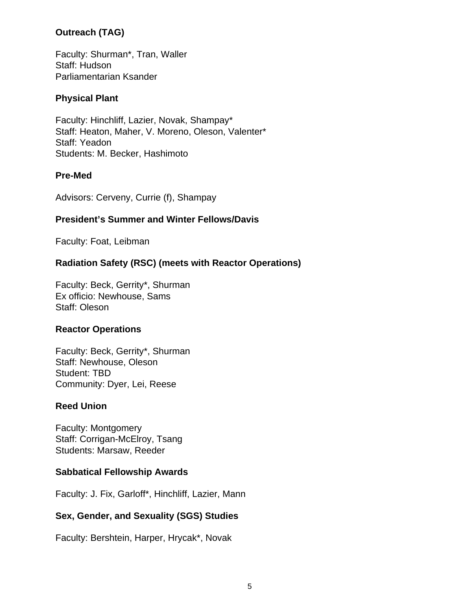## **Outreach (TAG)**

Faculty: Shurman\*, Tran, Waller Staff: Hudson Parliamentarian Ksander

## **Physical Plant**

Faculty: Hinchliff, Lazier, Novak, Shampay\* Staff: Heaton, Maher, V. Moreno, Oleson, Valenter\* Staff: Yeadon Students: M. Becker, Hashimoto

#### **Pre-Med**

Advisors: Cerveny, Currie (f), Shampay

## **President's Summer and Winter Fellows/Davis**

Faculty: Foat, Leibman

## **Radiation Safety (RSC) (meets with Reactor Operations)**

Faculty: Beck, Gerrity\*, Shurman Ex officio: Newhouse, Sams Staff: Oleson

#### **Reactor Operations**

Faculty: Beck, Gerrity\*, Shurman Staff: Newhouse, Oleson Student: TBD Community: Dyer, Lei, Reese

#### **Reed Union**

Faculty: Montgomery Staff: Corrigan-McElroy, Tsang Students: Marsaw, Reeder

#### **Sabbatical Fellowship Awards**

Faculty: J. Fix, Garloff\*, Hinchliff, Lazier, Mann

#### **Sex, Gender, and Sexuality (SGS) Studies**

Faculty: Bershtein, Harper, Hrycak\*, Novak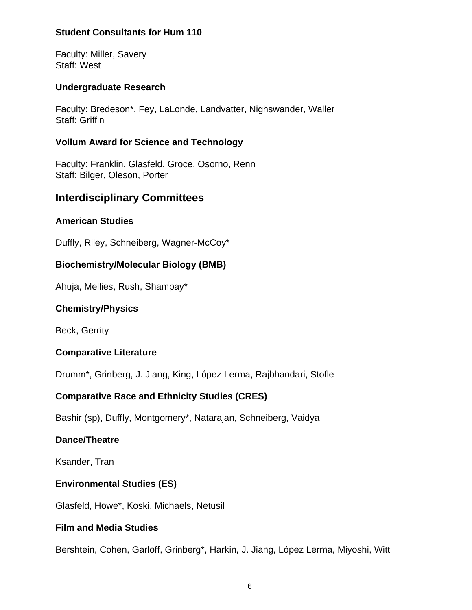#### **Student Consultants for Hum 110**

Faculty: Miller, Savery Staff: West

#### **Undergraduate Research**

Faculty: Bredeson\*, Fey, LaLonde, Landvatter, Nighswander, Waller Staff: Griffin

#### **Vollum Award for Science and Technology**

Faculty: Franklin, Glasfeld, Groce, Osorno, Renn Staff: Bilger, Oleson, Porter

# **Interdisciplinary Committees**

#### **American Studies**

Duffly, Riley, Schneiberg, Wagner-McCoy\*

#### **Biochemistry/Molecular Biology (BMB)**

Ahuja, Mellies, Rush, Shampay\*

#### **Chemistry/Physics**

Beck, Gerrity

#### **Comparative Literature**

Drumm\*, Grinberg, J. Jiang, King, López Lerma, Rajbhandari, Stofle

## **Comparative Race and Ethnicity Studies (CRES)**

Bashir (sp), Duffly, Montgomery\*, Natarajan, Schneiberg, Vaidya

#### **Dance/Theatre**

Ksander, Tran

#### **Environmental Studies (ES)**

Glasfeld, Howe\*, Koski, Michaels, Netusil

#### **Film and Media Studies**

Bershtein, Cohen, Garloff, Grinberg\*, Harkin, J. Jiang, López Lerma, Miyoshi, Witt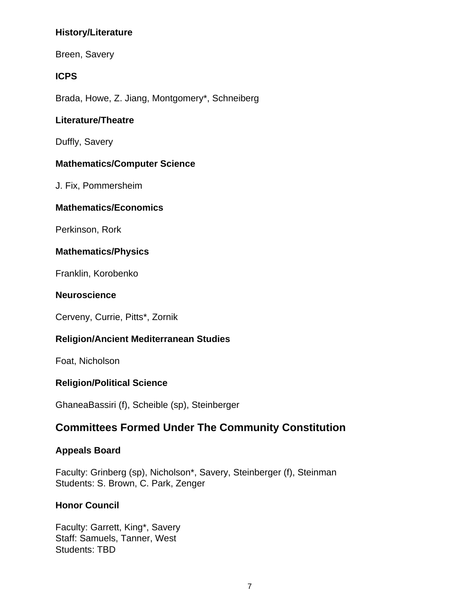## **History/Literature**

Breen, Savery

## **ICPS**

Brada, Howe, Z. Jiang, Montgomery\*, Schneiberg

## **Literature/Theatre**

Duffly, Savery

## **Mathematics/Computer Science**

J. Fix, Pommersheim

#### **Mathematics/Economics**

Perkinson, Rork

## **Mathematics/Physics**

Franklin, Korobenko

#### **Neuroscience**

Cerveny, Currie, Pitts\*, Zornik

## **Religion/Ancient Mediterranean Studies**

Foat, Nicholson

## **Religion/Political Science**

GhaneaBassiri (f), Scheible (sp), Steinberger

# **Committees Formed Under The Community Constitution**

#### **Appeals Board**

Faculty: Grinberg (sp), Nicholson\*, Savery, Steinberger (f), Steinman Students: S. Brown, C. Park, Zenger

## **Honor Council**

Faculty: Garrett, King\*, Savery Staff: Samuels, Tanner, West Students: TBD